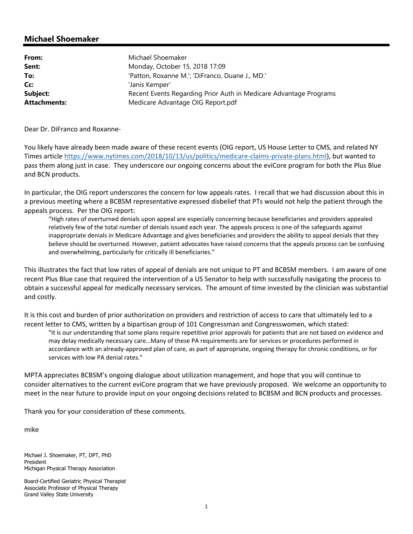## **Michael Shoemaker**

| From:               | Michael Shoemaker                                                 |
|---------------------|-------------------------------------------------------------------|
| Sent:               | Monday, October 15, 2018 17:09                                    |
| To:                 | 'Patton, Roxanne M.'; 'DiFranco, Duane J., MD.'                   |
| Cc:                 | 'Janis Kemper'                                                    |
| Subject:            | Recent Events Regarding Prior Auth in Medicare Advantage Programs |
| <b>Attachments:</b> | Medicare Advantage OIG Report.pdf                                 |

Dear Dr. DiFranco and Roxanne‐

You likely have already been made aware of these recent events (OIG report, US House Letter to CMS, and related NY Times article https://www.nytimes.com/2018/10/13/us/politics/medicare‐claims‐private‐plans.html), but wanted to pass them along just in case. They underscore our ongoing concerns about the eviCore program for both the Plus Blue and BCN products.

In particular, the OIG report underscores the concern for low appeals rates. I recall that we had discussion about this in a previous meeting where a BCBSM representative expressed disbelief that PTs would not help the patient through the appeals process. Per the OIG report:

"High rates of overturned denials upon appeal are especially concerning because beneficiaries and providers appealed relatively few of the total number of denials issued each year. The appeals process is one of the safeguards against inappropriate denials in Medicare Advantage and gives beneficiaries and providers the ability to appeal denials that they believe should be overturned. However, patient advocates have raised concerns that the appeals process can be confusing and overwhelming, particularly for critically ill beneficiaries."

This illustrates the fact that low rates of appeal of denials are not unique to PT and BCBSM members. I am aware of one recent Plus Blue case that required the intervention of a US Senator to help with successfully navigating the process to obtain a successful appeal for medically necessary services. The amount of time invested by the clinician was substantial and costly.

It is this cost and burden of prior authorization on providers and restriction of access to care that ultimately led to a recent letter to CMS, written by a bipartisan group of 101 Congressman and Congresswomen, which stated:

"It is our understanding that some plans require repetitive prior approvals for patients that are not based on evidence and may delay medically necessary care…Many of these PA requirements are for services or procedures performed in accordance with an already‐approved plan of care, as part of appropriate, ongoing therapy for chronic conditions, or for services with low PA denial rates."

MPTA appreciates BCBSM's ongoing dialogue about utilization management, and hope that you will continue to consider alternatives to the current eviCore program that we have previously proposed. We welcome an opportunity to meet in the near future to provide input on your ongoing decisions related to BCBSM and BCN products and processes.

Thank you for your consideration of these comments.

mike

Michael J. Shoemaker, PT, DPT, PhD President Michigan Physical Therapy Association

Board-Certified Geriatric Physical Therapist Associate Professor of Physical Therapy Grand Valley State University